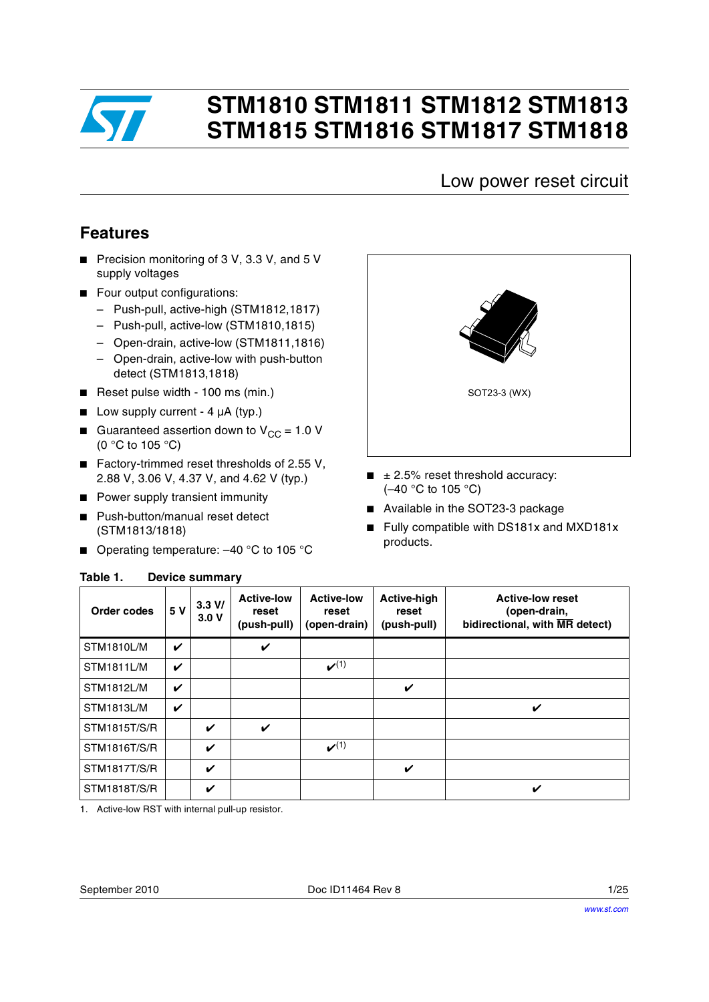

# **STM1810 STM1811 STM1812 STM1813 STM1815 STM1816 STM1817 STM1818**

### Low power reset circuit

## **Features**

- Precision monitoring of 3 V, 3.3 V, and 5 V supply voltages
- Four output configurations:
	- Push-pull, active-high (STM1812,1817)
	- Push-pull, active-low (STM1810,1815)
	- Open-drain, active-low (STM1811,1816)
	- Open-drain, active-low with push-button detect (STM1813,1818)
- Reset pulse width 100 ms (min.)
- Low supply current  $-4 \mu A$  (typ.)
- **■** Guaranteed assertion down to  $V_{CC} = 1.0 V$ (0 °C to 105 °C)
- Factory-trimmed reset thresholds of 2.55 V, 2.88 V, 3.06 V, 4.37 V, and 4.62 V (typ.)
- Power supply transient immunity
- Push-button/manual reset detect (STM1813/1818)

<span id="page-0-0"></span>**Table 1. Device summary**

■ Operating temperature: -40 °C to 105 °C



- $\blacksquare$   $\pm$  2.5% reset threshold accuracy: (–40 °C to 105 °C)
- Available in the SOT23-3 package
- Fully compatible with DS181x and MXD181x products.

| Order codes         | 5 V                        | 3.3 V/<br>3.0V | <b>Active-low</b><br>reset<br>(push-pull) | <b>Active-low</b><br>reset<br>(open-drain) | <b>Active-high</b><br>reset<br>(push-pull) | <b>Active-low reset</b><br>(open-drain,<br>bidirectional, with MR detect) |
|---------------------|----------------------------|----------------|-------------------------------------------|--------------------------------------------|--------------------------------------------|---------------------------------------------------------------------------|
| <b>STM1810L/M</b>   | $\boldsymbol{\mathcal{U}}$ |                | V                                         |                                            |                                            |                                                                           |
| <b>STM1811L/M</b>   | V                          |                |                                           | $\boldsymbol{\nu}^{(1)}$                   |                                            |                                                                           |
| <b>STM1812L/M</b>   | $\boldsymbol{\nu}$         |                |                                           |                                            | V                                          |                                                                           |
| <b>STM1813L/M</b>   | V                          |                |                                           |                                            |                                            | V                                                                         |
| <b>STM1815T/S/R</b> |                            | ✓              | V                                         |                                            |                                            |                                                                           |
| STM1816T/S/R        |                            | V              |                                           | $\boldsymbol{\nu}^{(1)}$                   |                                            |                                                                           |
| STM1817T/S/R        |                            | V              |                                           |                                            | V                                          |                                                                           |
| STM1818T/S/R        |                            | ✓              |                                           |                                            |                                            | ✔                                                                         |

1. Active-low RST with internal pull-up resistor.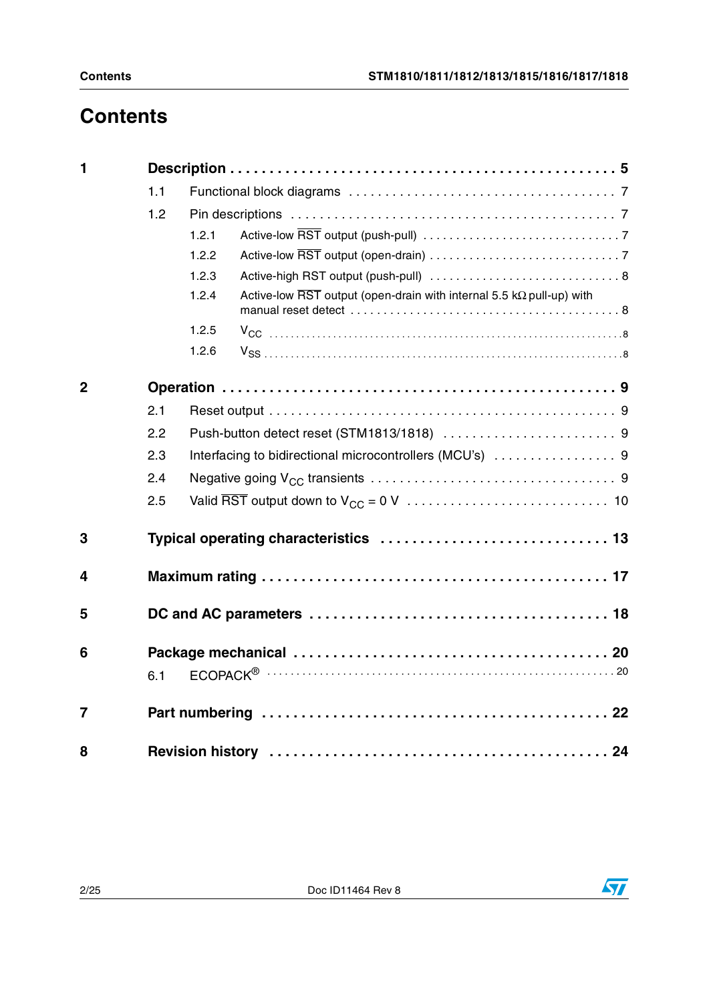# **Contents**

| $\blacksquare$ |     |       |                                                                                                  |  |
|----------------|-----|-------|--------------------------------------------------------------------------------------------------|--|
|                | 1.1 |       |                                                                                                  |  |
|                | 1.2 |       |                                                                                                  |  |
|                |     | 1.2.1 |                                                                                                  |  |
|                |     | 1.2.2 |                                                                                                  |  |
|                |     | 1.2.3 |                                                                                                  |  |
|                |     | 1.2.4 | Active-low $\overline{\text{RST}}$ output (open-drain with internal 5.5 k $\Omega$ pull-up) with |  |
|                |     | 1.2.5 |                                                                                                  |  |
|                |     | 1.2.6 |                                                                                                  |  |
| $\mathbf{2}$   |     |       |                                                                                                  |  |
|                | 2.1 |       |                                                                                                  |  |
|                | 2.2 |       |                                                                                                  |  |
|                | 2.3 |       | Interfacing to bidirectional microcontrollers (MCU's)  9                                         |  |
|                | 2.4 |       |                                                                                                  |  |
|                | 2.5 |       |                                                                                                  |  |
| 3              |     |       | Typical operating characteristics  13                                                            |  |
| 4              |     |       |                                                                                                  |  |
| 5              |     |       |                                                                                                  |  |
| 6              |     |       |                                                                                                  |  |
|                | 6.1 |       |                                                                                                  |  |
| $\overline{7}$ |     |       |                                                                                                  |  |
| 8              |     |       |                                                                                                  |  |

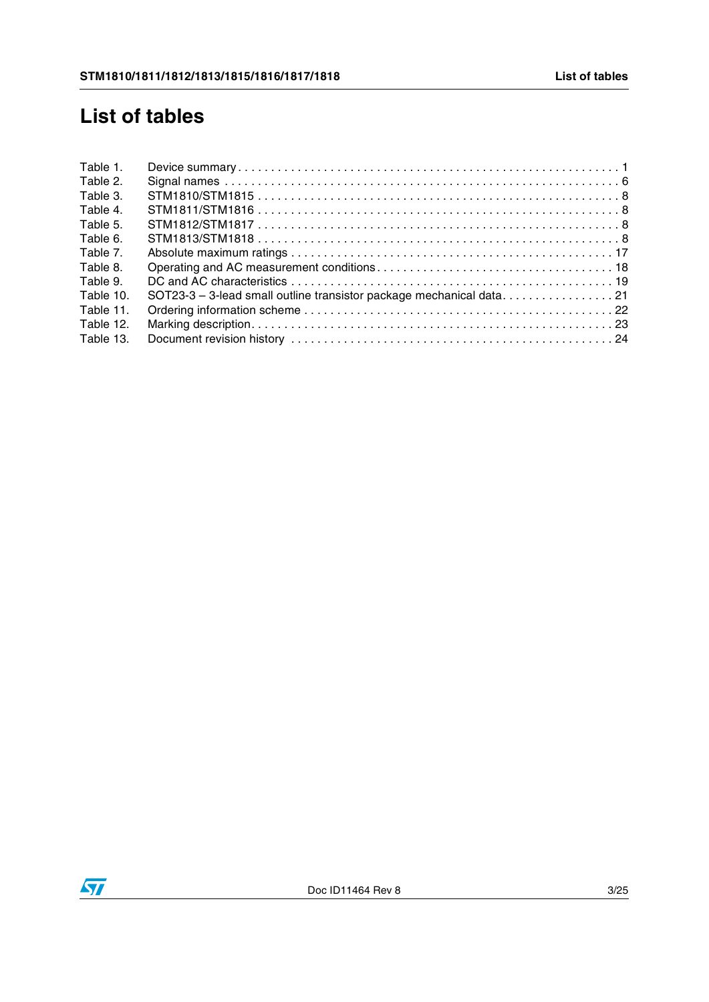# **List of tables**

| Table 1.  |                                                                     |  |
|-----------|---------------------------------------------------------------------|--|
| Table 2.  |                                                                     |  |
| Table 3.  |                                                                     |  |
| Table 4.  |                                                                     |  |
| Table 5.  |                                                                     |  |
| Table 6.  |                                                                     |  |
| Table 7.  |                                                                     |  |
| Table 8.  |                                                                     |  |
| Table 9.  |                                                                     |  |
| Table 10. | SOT23-3 - 3-lead small outline transistor package mechanical data21 |  |
| Table 11. |                                                                     |  |
| Table 12. |                                                                     |  |
| Table 13. |                                                                     |  |
|           |                                                                     |  |

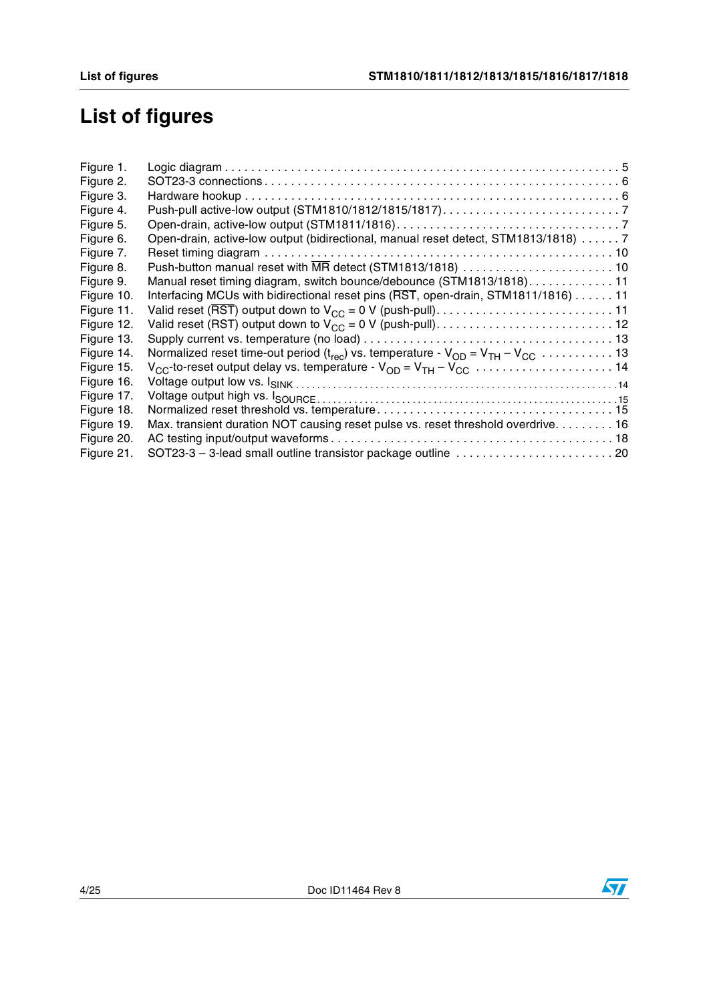# **List of figures**

| Figure 1.  |                                                                                    |
|------------|------------------------------------------------------------------------------------|
| Figure 2.  |                                                                                    |
| Figure 3.  |                                                                                    |
| Figure 4.  |                                                                                    |
| Figure 5.  |                                                                                    |
| Figure 6.  | Open-drain, active-low output (bidirectional, manual reset detect, STM1813/1818) 7 |
| Figure 7.  |                                                                                    |
| Figure 8.  | Push-button manual reset with MR detect (STM1813/1818)  10                         |
| Figure 9.  | Manual reset timing diagram, switch bounce/debounce (STM1813/1818). 11             |
| Figure 10. | Interfacing MCUs with bidirectional reset pins (RST, open-drain, STM1811/1816) 11  |
| Figure 11. |                                                                                    |
| Figure 12. |                                                                                    |
| Figure 13. |                                                                                    |
| Figure 14. |                                                                                    |
| Figure 15. |                                                                                    |
| Figure 16. |                                                                                    |
| Figure 17. |                                                                                    |
| Figure 18. |                                                                                    |
| Figure 19. | Max. transient duration NOT causing reset pulse vs. reset threshold overdrive. 16  |
| Figure 20. |                                                                                    |
| Figure 21. |                                                                                    |

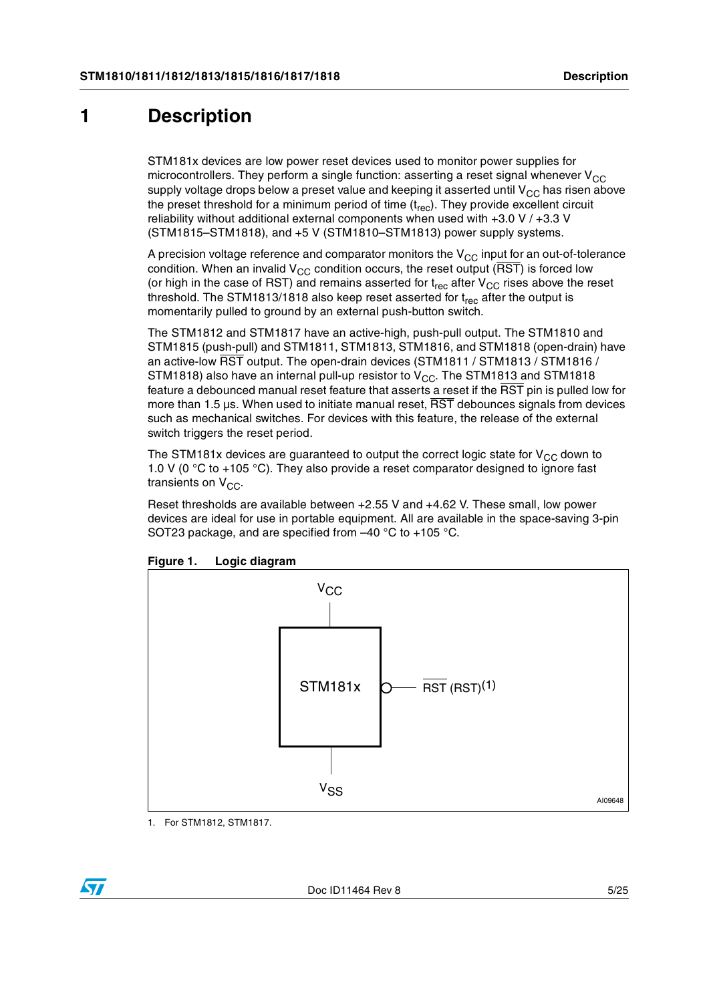## <span id="page-4-0"></span>**1 Description**

STM181x devices are low power reset devices used to monitor power supplies for microcontrollers. They perform a single function: asserting a reset signal whenever  $V_{CC}$ supply voltage drops below a preset value and keeping it asserted until  $V_{CC}$  has risen above the preset threshold for a minimum period of time  $(t_{rec})$ . They provide excellent circuit reliability without additional external components when used with +3.0 V / +3.3 V (STM1815–STM1818), and +5 V (STM1810–STM1813) power supply systems.

A precision voltage reference and comparator monitors the  $V_{CC}$  input for an out-of-tolerance condition. When an invalid  $V_{CC}$  condition occurs, the reset output ( $\overline{RST}$ ) is forced low (or high in the case of RST) and remains asserted for  $t_{rec}$  after  $V_{CC}$  rises above the reset threshold. The STM1813/1818 also keep reset asserted for  $t_{rec}$  after the output is momentarily pulled to ground by an external push-button switch.

The STM1812 and STM1817 have an active-high, push-pull output. The STM1810 and STM1815 (push-pull) and STM1811, STM1813, STM1816, and STM1818 (open-drain) have an active-low RST output. The open-drain devices (STM1811 / STM1813 / STM1816 / STM1818) also have an internal pull-up resistor to  $V_{CC}$ . The STM1813 and STM1818 feature a debounced manual reset feature that asserts a reset if the RST pin is pulled low for more than 1.5  $\mu$ s. When used to initiate manual reset,  $\overline{\text{RST}}$  debounces signals from devices such as mechanical switches. For devices with this feature, the release of the external switch triggers the reset period.

The STM181x devices are guaranteed to output the correct logic state for  $V_{CC}$  down to 1.0 V (0 °C to +105 °C). They also provide a reset comparator designed to ignore fast transients on  $V_{CC}$ .

Reset thresholds are available between +2.55 V and +4.62 V. These small, low power devices are ideal for use in portable equipment. All are available in the space-saving 3-pin SOT23 package, and are specified from –40 °C to +105 °C.



<span id="page-4-1"></span>**Figure 1. Logic diagram**

1. For STM1812, STM1817.

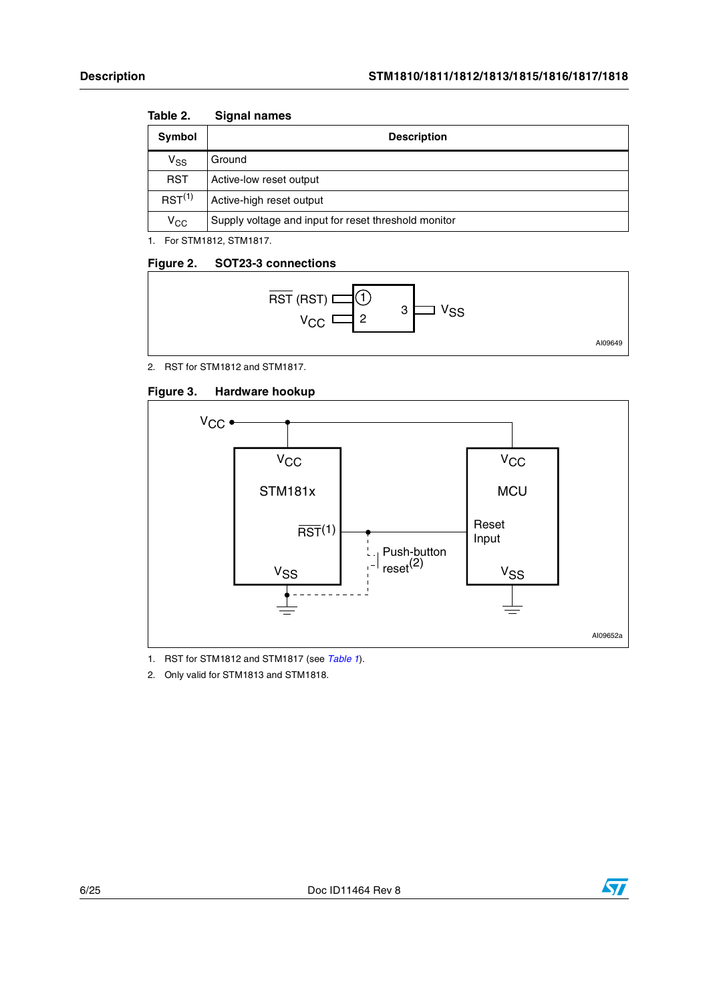| IUNIV L.                   | OIYHAI HAIHUJ                                        |
|----------------------------|------------------------------------------------------|
| Symbol                     | <b>Description</b>                                   |
| $\mathsf{V}_{\mathsf{SS}}$ | Ground                                               |
| <b>RST</b>                 | Active-low reset output                              |
| $RST^{(1)}$                | Active-high reset output                             |
| $\rm v_{cc}$               | Supply voltage and input for reset threshold monitor |

#### <span id="page-5-0"></span>Table 2 **Table 2. Signal names**

1. For STM1812, STM1817.

### <span id="page-5-1"></span>**Figure 2. SOT23-3 connections**



2. RST for STM1812 and STM1817.

<span id="page-5-2"></span>



1. RST for STM1812 and STM1817 (see *Table 1*).

2. Only valid for STM1813 and STM1818.

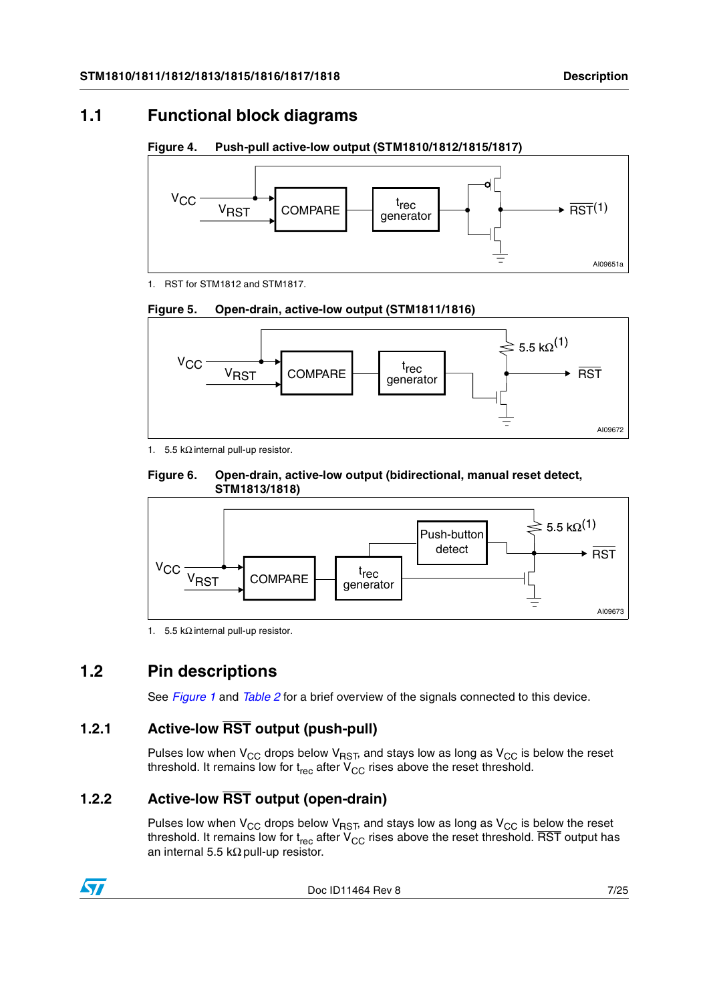### <span id="page-6-0"></span>**1.1 Functional block diagrams**

<span id="page-6-4"></span>**Figure 4. Push-pull active-low output (STM1810/1812/1815/1817)**



1. RST for STM1812 and STM1817.

<span id="page-6-5"></span>



1. 5.5 k $\Omega$  internal pull-up resistor.

<span id="page-6-6"></span>



1. 5.5 kΩ internal pull-up resistor.

## <span id="page-6-1"></span>**1.2 Pin descriptions**

See *[Figure 1](#page-4-1)* and *[Table 2](#page-5-0)* for a brief overview of the signals connected to this device.

### <span id="page-6-2"></span>**1.2.1 Active-low RST output (push-pull)**

Pulses low when  $V_{CC}$  drops below  $V_{RST}$ , and stays low as long as  $V_{CC}$  is below the reset threshold. It remains low for  $t_{rec}$  after  $V_{CC}$  rises above the reset threshold.

### <span id="page-6-3"></span>**1.2.2 Active-low RST output (open-drain)**

Pulses low when  $V_{CC}$  drops below  $V_{RST}$ , and stays low as long as  $V_{CC}$  is below the reset threshold. It remains low for t<sub>rec</sub> after V<sub>CC</sub> rises above the reset threshold. RST output has an internal 5.5 kΩ pull-up resistor.



Doc ID11464 Rev 8 7/25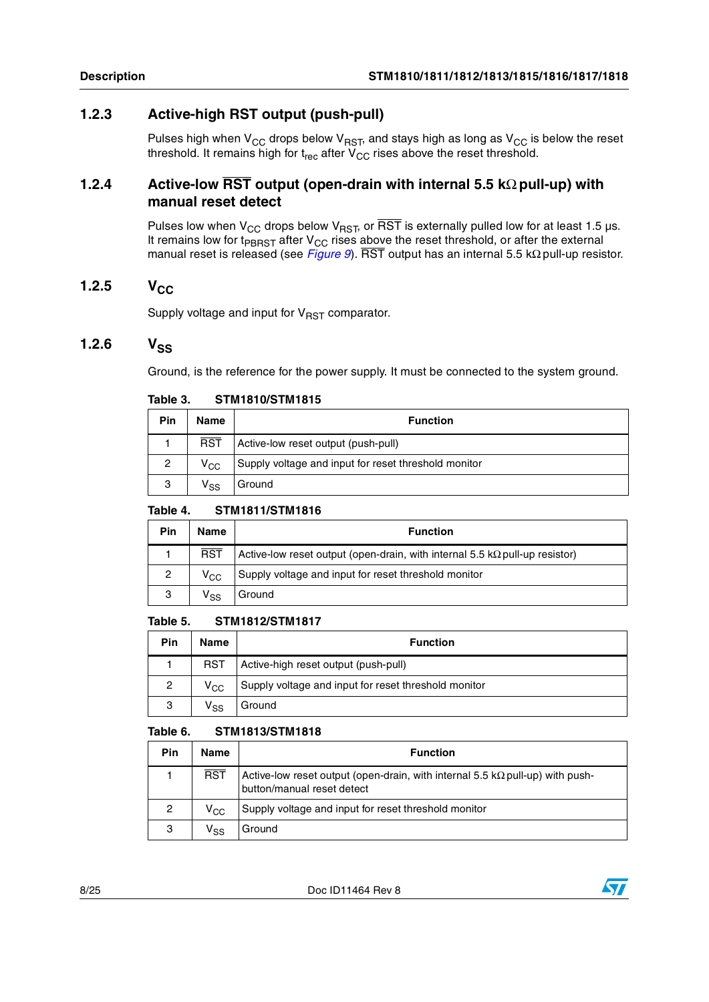### <span id="page-7-0"></span>**1.2.3 Active-high RST output (push-pull)**

Pulses high when  $\rm V_{CC}$  drops below  $\rm V_{RST}$ , and stays high as long as  $\rm V_{CC}$  is below the reset threshold. It remains high for  ${\rm t_{rec}}$  after  ${\rm V_{CC}}$  rises above the reset threshold.

### <span id="page-7-1"></span>**1.2.4 Active-low RST output (open-drain with internal 5.5 k**Ω **pull-up) with manual reset detect**

Pulses low when V<sub>CC</sub> drops below V<sub>RST</sub>, or  $\overline{\text{RST}}$  is externally pulled low for at least 1.5 µs. It remains low for t $_{\text{PBRST}}$  after  $V_{\text{CC}}$  rises above the reset threshold, or after the external manual reset is released (see *[Figure 9](#page-10-0)*). RST output has an internal 5.5 kΩ pull-up resistor.

### <span id="page-7-2"></span>1.2.5 V<sub>CC</sub>

Supply voltage and input for  $V_{RST}$  comparator.

### <span id="page-7-3"></span> $1.2.6$   $V_{SS}$

Ground, is the reference for the power supply. It must be connected to the system ground.

| Pin | <b>Name</b>                | <b>Function</b>                                      |
|-----|----------------------------|------------------------------------------------------|
|     | $\overline{RST}$           | Active-low reset output (push-pull)                  |
| 2   | $V_{CC}$                   | Supply voltage and input for reset threshold monitor |
| 3   | $\mathsf{V}_{\mathsf{SS}}$ | Ground                                               |

#### <span id="page-7-4"></span>Table 3. **Table 3. STM1810/STM1815**

#### <span id="page-7-5"></span>Table 4. **Table 4. STM1811/STM1816**

| Pin            | <b>Name</b>     | <b>Function</b>                                                                    |
|----------------|-----------------|------------------------------------------------------------------------------------|
|                | <b>RST</b>      | Active-low reset output (open-drain, with internal 5.5 $k\Omega$ pull-up resistor) |
| $\overline{c}$ | $V_{CC}$        | Supply voltage and input for reset threshold monitor                               |
| 3              | ۷ <sub>SS</sub> | Ground                                                                             |

#### <span id="page-7-6"></span>Table 5. **Table 5. STM1812/STM1817**

| Pin | <b>Name</b>  | <b>Function</b>                                      |
|-----|--------------|------------------------------------------------------|
|     | <b>RST</b>   | Active-high reset output (push-pull)                 |
| 2   | $V_{\rm CC}$ | Supply voltage and input for reset threshold monitor |
| 3   | Vss          | Ground                                               |

#### <span id="page-7-7"></span>Table 6. **Table 6. STM1813/STM1818**

| Pin | Name            | <b>Function</b>                                                                                                    |
|-----|-----------------|--------------------------------------------------------------------------------------------------------------------|
|     | <b>RST</b>      | Active-low reset output (open-drain, with internal 5.5 $k\Omega$ pull-up) with push-<br>button/manual reset detect |
| 2   | $\rm v_{cc}$    | Supply voltage and input for reset threshold monitor                                                               |
| 3   | V <sub>SS</sub> | Ground                                                                                                             |

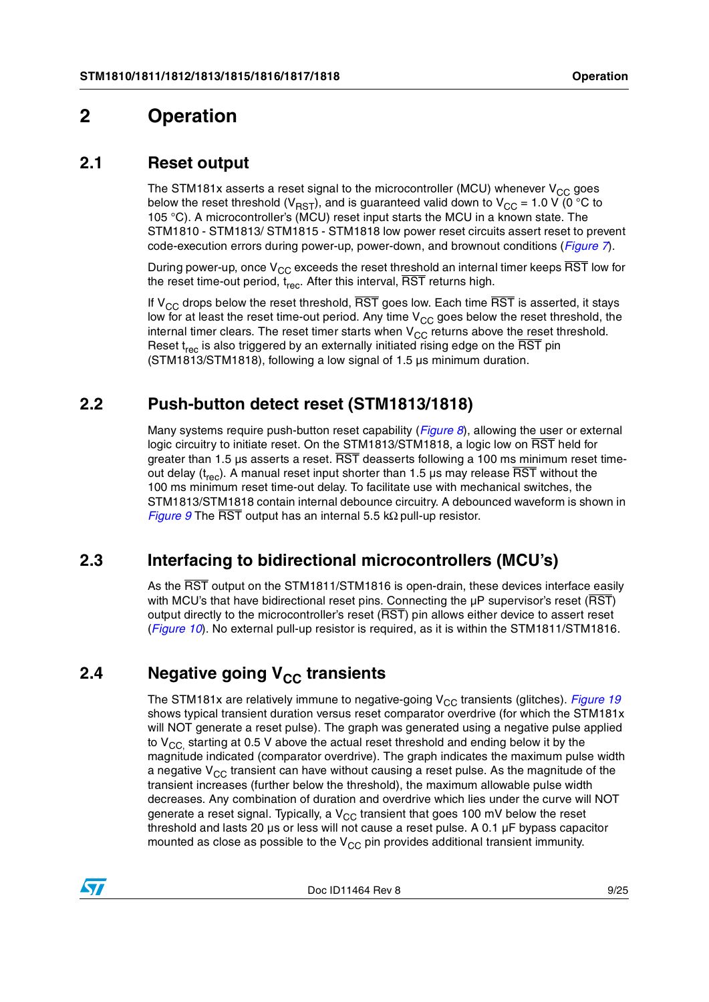## <span id="page-8-0"></span>**2 Operation**

### <span id="page-8-1"></span>**2.1 Reset output**

The STM181x asserts a reset signal to the microcontroller (MCU) whenever  $V_{CC}$  goes below the reset threshold (V<sub>RST</sub>), and is guaranteed valid down to V<sub>CC</sub> = 1.0 V (0 °C to 105 °C). A microcontroller's (MCU) reset input starts the MCU in a known state. The STM1810 - STM1813/ STM1815 - STM1818 low power reset circuits assert reset to prevent code-execution errors during power-up, power-down, and brownout conditions (*[Figure 7](#page-9-1)*).

During power-up, once  $V_{CC}$  exceeds the reset threshold an internal timer keeps  $\overline{RST}$  low for the reset time-out period,  $t_{rec}$ . After this interval,  $\overline{\text{RST}}$  returns high.

If  $V_{CC}$  drops below the reset threshold,  $\overline{RST}$  goes low. Each time  $\overline{RST}$  is asserted, it stays low for at least the reset time-out period. Any time  $V_{CC}$  goes below the reset threshold, the internal timer clears. The reset timer starts when  $V_{CC}$  returns above the reset threshold. Reset  $t_{rec}$  is also triggered by an externally initiated rising edge on the  $\overline{\text{RST}}$  pin (STM1813/STM1818), following a low signal of 1.5 µs minimum duration.

### <span id="page-8-2"></span>**2.2 Push-button detect reset (STM1813/1818)**

Many systems require push-button reset capability (*[Figure 8](#page-9-2)*), allowing the user or external logic circuitry to initiate reset. On the STM1813/STM1818, a logic low on RST held for greater than 1.5 us asserts a reset. RST deasserts following a 100 ms minimum reset timeout delay  $(t_{rec})$ . A manual reset input shorter than 1.5 µs may release RST without the 100 ms minimum reset time-out delay. To facilitate use with mechanical switches, the STM1813/STM1818 contain internal debounce circuitry. A debounced waveform is shown in *[Figure 9](#page-10-0)* The RST output has an internal 5.5 kΩ pull-up resistor.

### <span id="page-8-3"></span>**2.3 Interfacing to bidirectional microcontrollers (MCU's)**

As the RST output on the STM1811/STM1816 is open-drain, these devices interface easily with MCU's that have bidirectional reset pins. Connecting the  $\mu$ P supervisor's reset ( $\overline{\text{RST}}$ ) output directly to the microcontroller's reset (RST) pin allows either device to assert reset (*[Figure 10](#page-10-1)*). No external pull-up resistor is required, as it is within the STM1811/STM1816.

## <span id="page-8-4"></span>**2.4** Negative going V<sub>CC</sub> transients

The STM181x are relatively immune to negative-going V<sub>CC</sub> transients (glitches). *[Figure 19](#page-15-0)* shows typical transient duration versus reset comparator overdrive (for which the STM181x will NOT generate a reset pulse). The graph was generated using a negative pulse applied to  $V_{CC}$  starting at 0.5 V above the actual reset threshold and ending below it by the magnitude indicated (comparator overdrive). The graph indicates the maximum pulse width a negative  $V_{CC}$  transient can have without causing a reset pulse. As the magnitude of the transient increases (further below the threshold), the maximum allowable pulse width decreases. Any combination of duration and overdrive which lies under the curve will NOT generate a reset signal. Typically, a  $V_{CC}$  transient that goes 100 mV below the reset threshold and lasts 20 µs or less will not cause a reset pulse. A 0.1 µF bypass capacitor mounted as close as possible to the  $V_{CC}$  pin provides additional transient immunity.

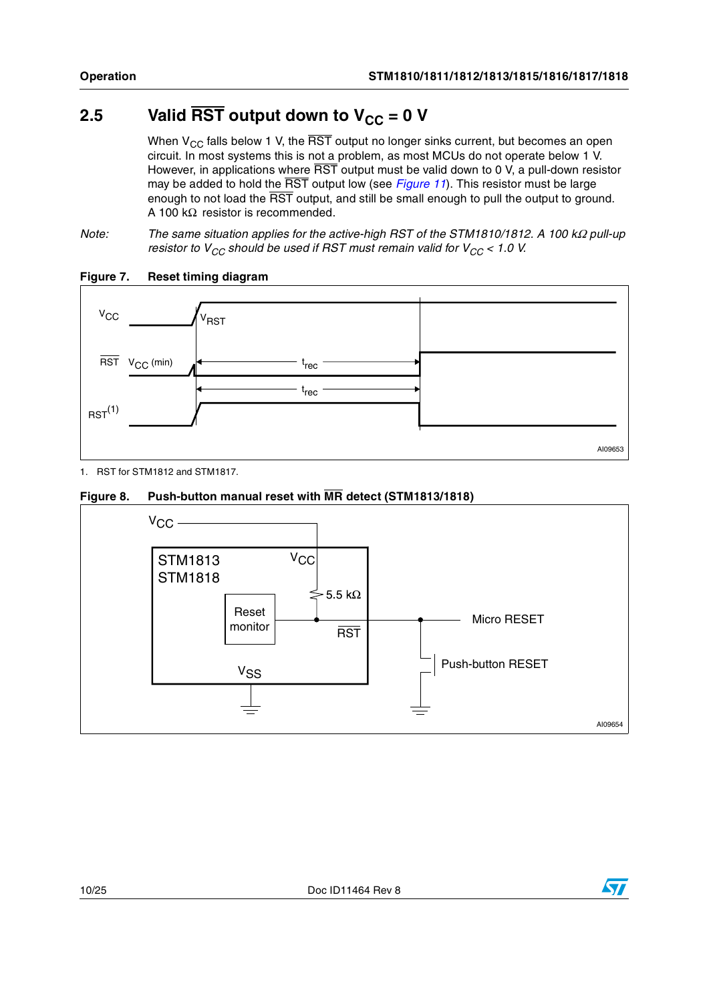## <span id="page-9-0"></span>2.5 Valid  $\overline{\text{RST}}$  output down to  $V_{CC} = 0$  V

When  $V_{CC}$  falls below 1 V, the  $\overline{RST}$  output no longer sinks current, but becomes an open circuit. In most systems this is not a problem, as most MCUs do not operate below 1 V. However, in applications where  $\overline{\text{RST}}$  output must be valid down to 0 V, a pull-down resistor may be added to hold the RST output low (see *[Figure 11](#page-10-2)*). This resistor must be large enough to not load the  $\overline{\text{RST}}$  output, and still be small enough to pull the output to ground. A 100 kΩ resistor is recommended.

*Note:* The same situation applies for the active-high RST of the STM1810/1812. A 100 kΩ pull-up *resistor to V<sub>CC</sub> should be used if RST must remain valid for V<sub>CC</sub> < 1.0 V.* 



### <span id="page-9-1"></span>**Figure 7. Reset timing diagram**

1. RST for STM1812 and STM1817.

<span id="page-9-2"></span>



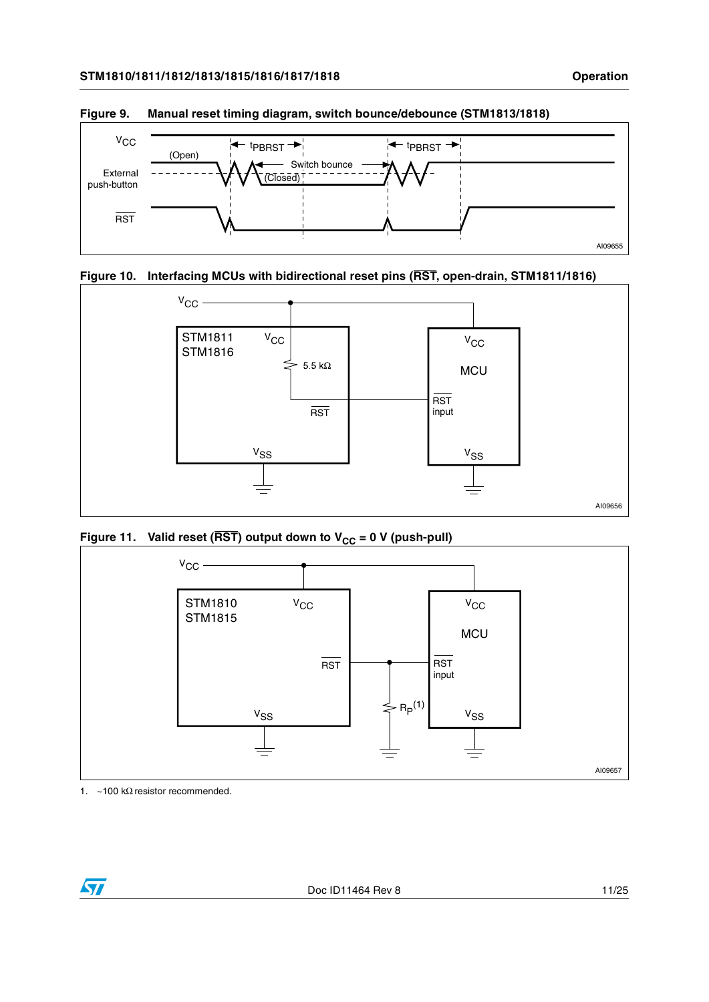

<span id="page-10-0"></span>**Figure 9. Manual reset timing diagram, switch bounce/debounce (STM1813/1818)**

<span id="page-10-1"></span>



<span id="page-10-2"></span>Figure 11. Valid reset ( $\overline{\text{RST}}$ ) output down to V<sub>CC</sub> = 0 V (push-pull)



1. ~100 kΩ resistor recommended.

 $\sqrt{2}$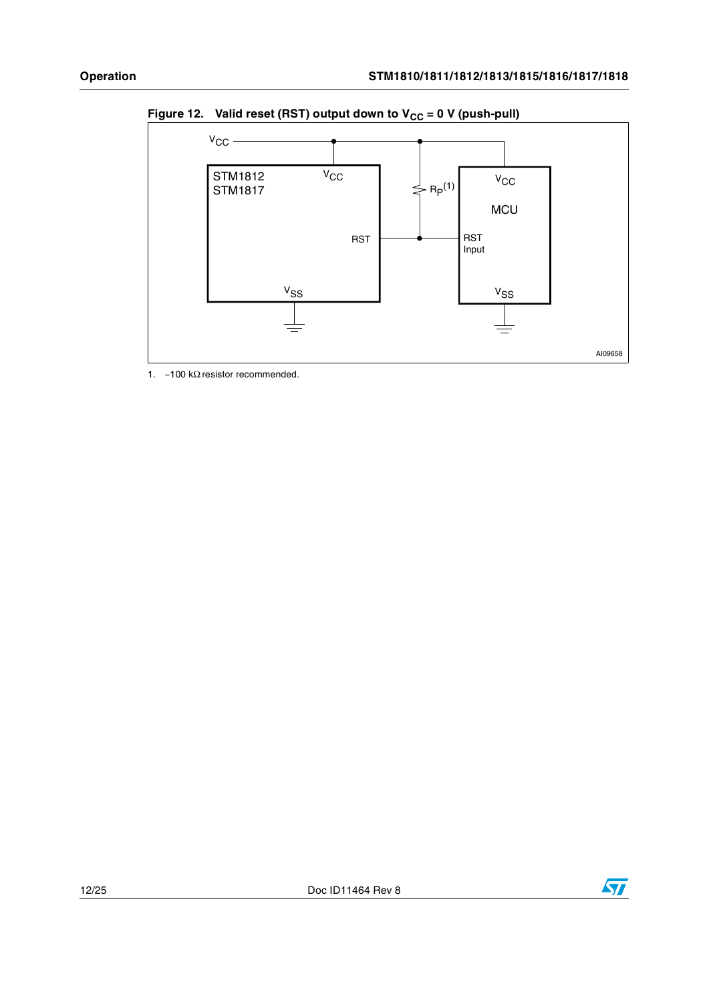

<span id="page-11-0"></span>Figure 12. Valid reset (RST) output down to  $V_{CC} = 0$  V (push-pull)

1. ~100 k $\Omega$  resistor recommended.

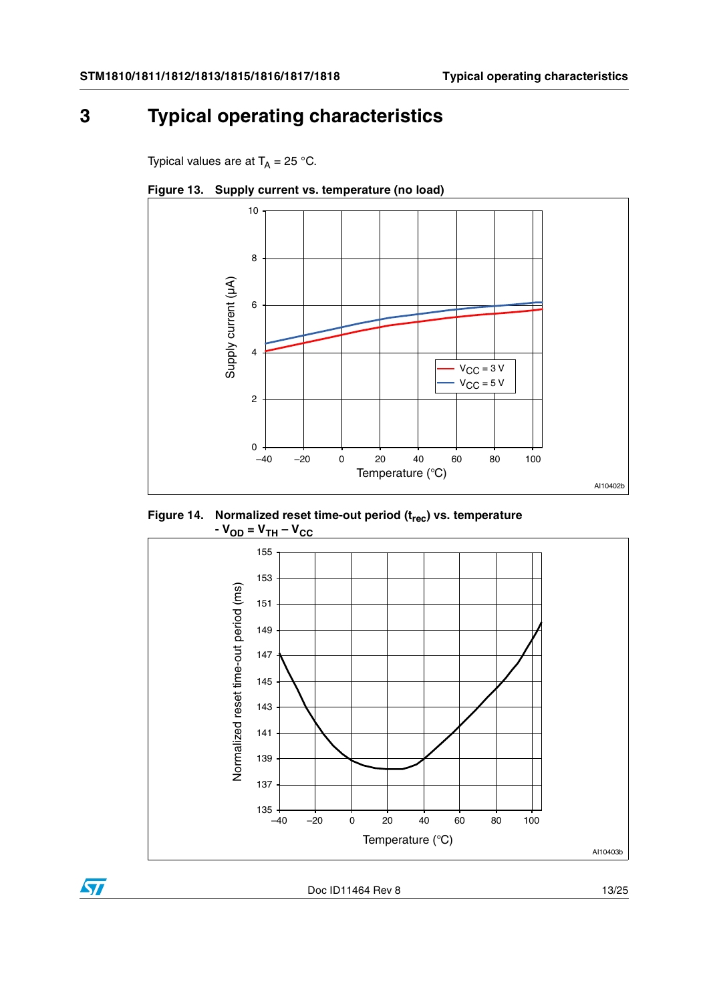## <span id="page-12-0"></span>**3 Typical operating characteristics**

Typical values are at  $T_A = 25$  °C.



<span id="page-12-1"></span>**Figure 13. Supply current vs. temperature (no load)**

<span id="page-12-2"></span>



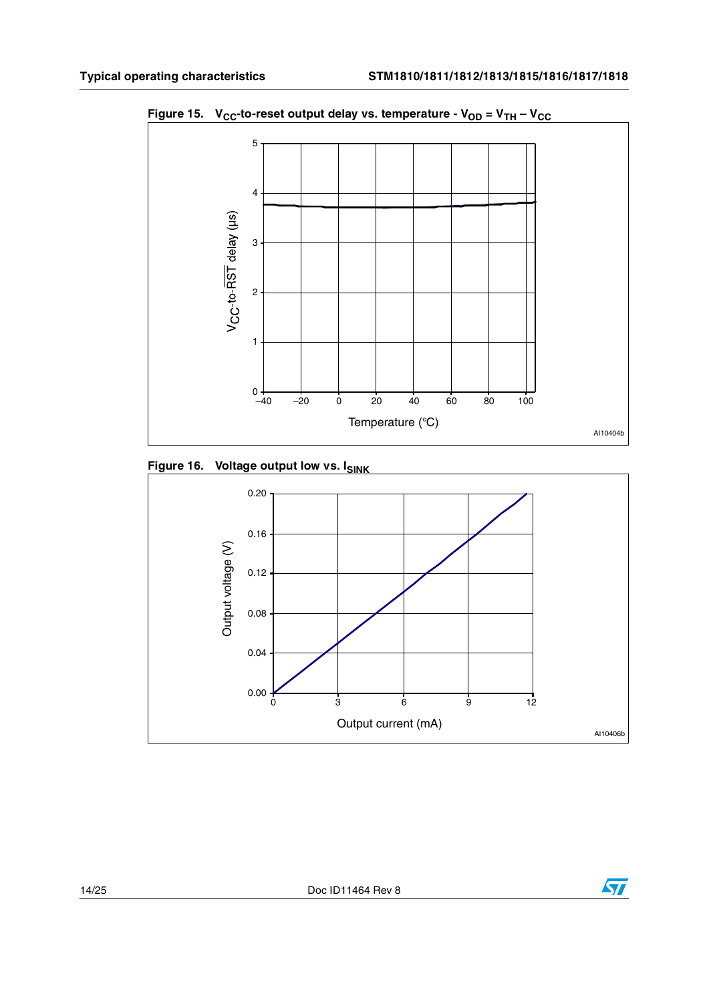

<span id="page-13-0"></span>Figure 15.  $V_{CC}$ -to-reset output delay vs. temperature -  $V_{OD} = V_{TH} - V_{CC}$ 

<span id="page-13-1"></span>**Figure 16. Voltage output low vs. ISINK** 



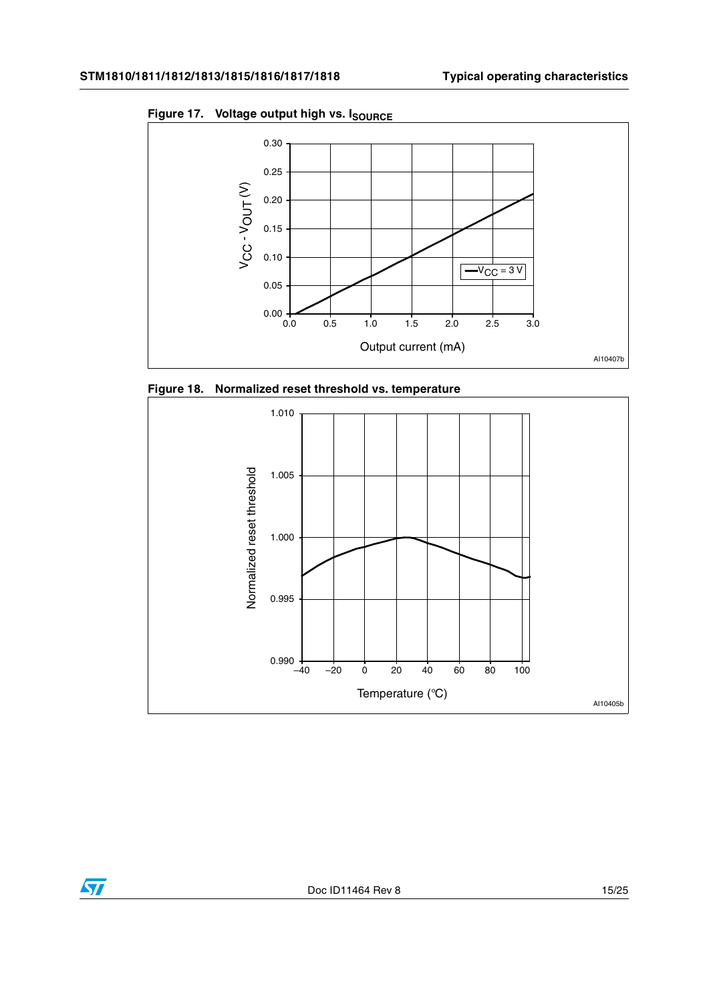

<span id="page-14-0"></span>Figure 17. Voltage output high vs. I<sub>SOURCE</sub>

<span id="page-14-1"></span>

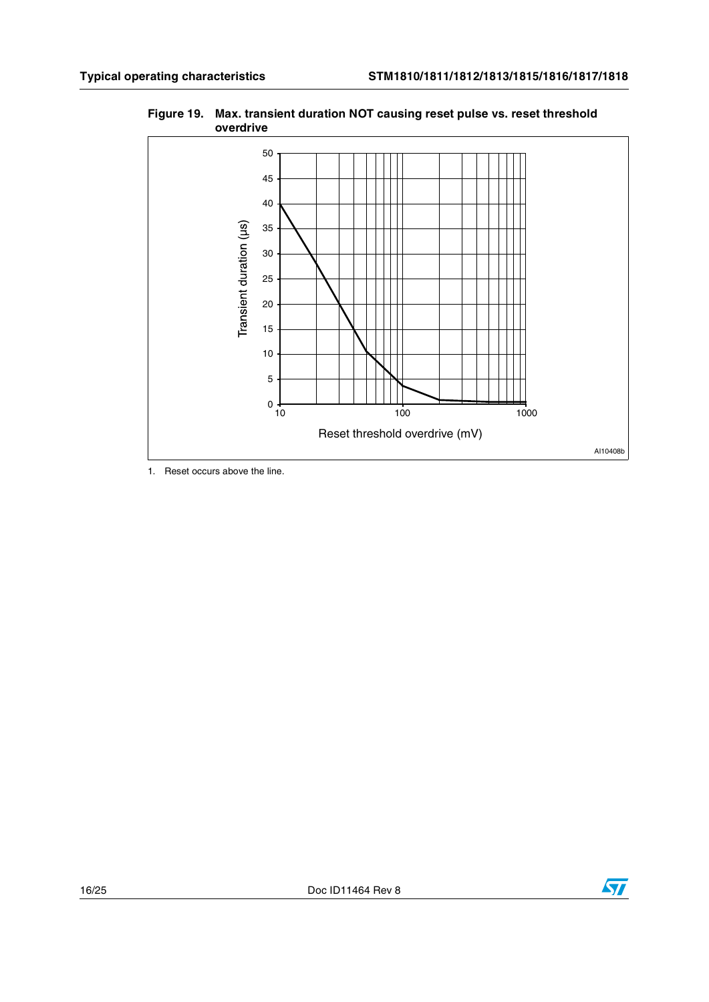

<span id="page-15-0"></span>**Figure 19. Max. transient duration NOT causing reset pulse vs. reset threshold overdrive**

1. Reset occurs above the line.



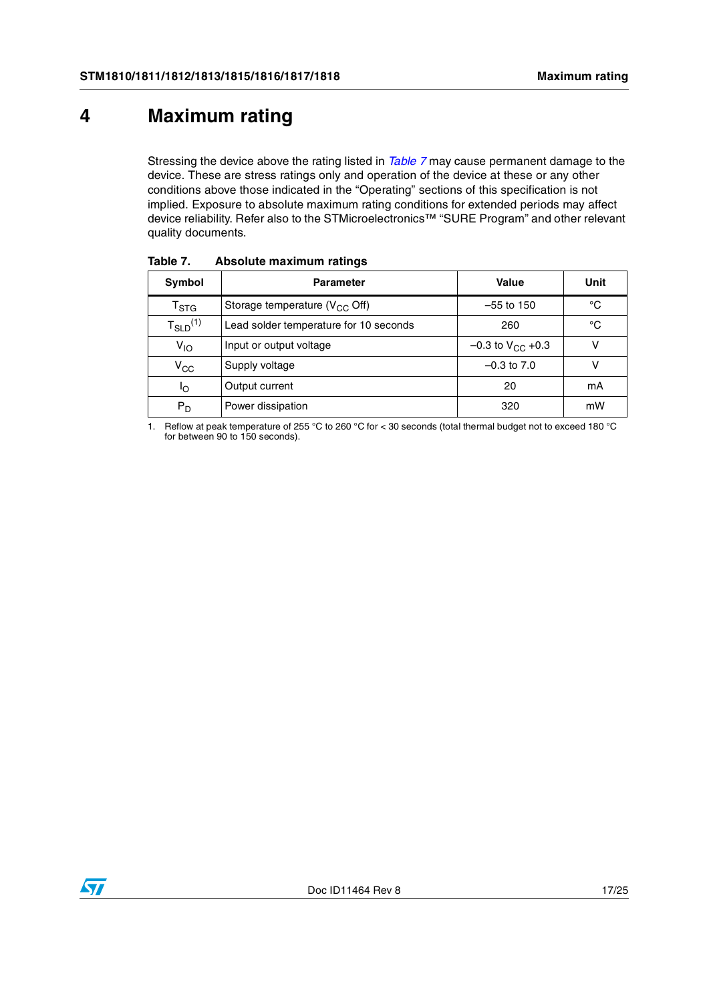## <span id="page-16-0"></span>**4 Maximum rating**

Stressing the device above the rating listed in *[Table 7](#page-16-1)* may cause permanent damage to the device. These are stress ratings only and operation of the device at these or any other conditions above those indicated in the "Operating" sections of this specification is not implied. Exposure to absolute maximum rating conditions for extended periods may affect device reliability. Refer also to the STMicroelectronics™ "SURE Program" and other relevant quality documents.

| Symbol                    | <b>Parameter</b>                       | Value                   | Unit |
|---------------------------|----------------------------------------|-------------------------|------|
| $\mathsf{T}_{\text{STG}}$ | Storage temperature ( $V_{CC}$ Off)    | $-55$ to 150            | °C   |
| $T_{SLD}^{(1)}$           | Lead solder temperature for 10 seconds | 260                     | °C   |
| $V_{1O}$                  | Input or output voltage                | $-0.3$ to $V_{CC}$ +0.3 | v    |
| $V_{CC}$                  | Supply voltage                         | $-0.3$ to $7.0$         | v    |
| οl                        | Output current                         | 20                      | mA   |
| P <sub>D</sub>            | Power dissipation                      | 320                     | mW   |

<span id="page-16-1"></span>Table 7. **Absolute maximum ratings** 

1. Reflow at peak temperature of 255 °C to 260 °C for < 30 seconds (total thermal budget not to exceed 180 °C for between 90 to 150 seconds).

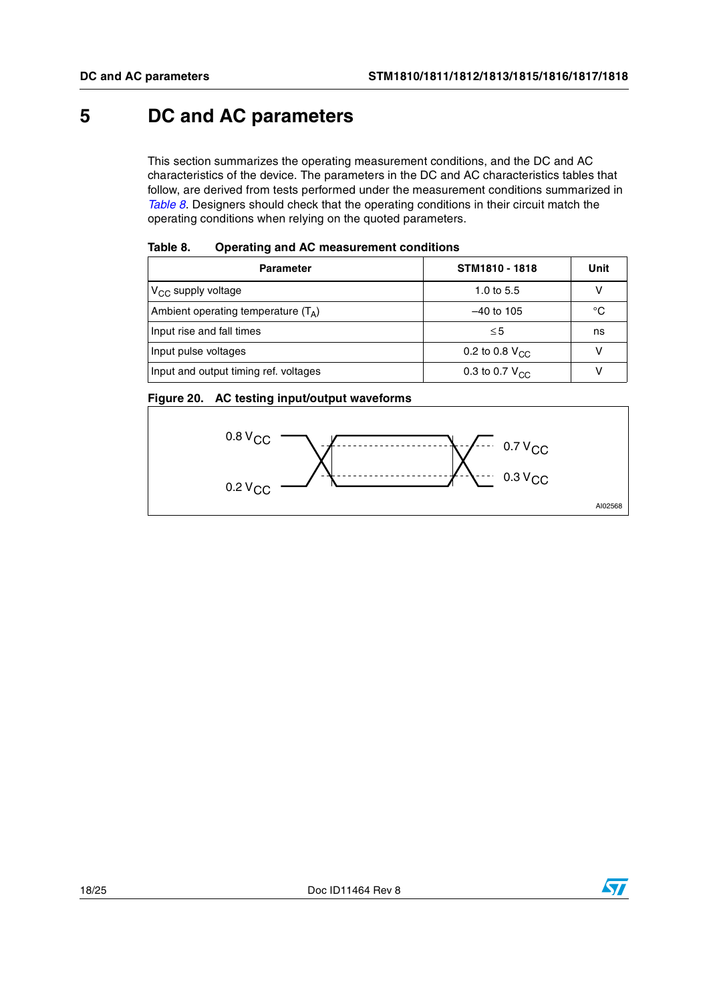## <span id="page-17-0"></span>**5 DC and AC parameters**

This section summarizes the operating measurement conditions, and the DC and AC characteristics of the device. The parameters in the DC and AC characteristics tables that follow, are derived from tests performed under the measurement conditions summarized in *[Table 8](#page-17-1)*. Designers should check that the operating conditions in their circuit match the operating conditions when relying on the quoted parameters.

| Tapic o.<br><u>Uperating and AC measurement conditions</u> |                            |      |
|------------------------------------------------------------|----------------------------|------|
| <b>Parameter</b>                                           | STM1810 - 1818             | Unit |
| $V_{CC}$ supply voltage                                    | 1.0 to $5.5$               |      |
| Ambient operating temperature $(T_{\Delta})$               | $-40$ to 105               | °C   |
| Input rise and fall times                                  | $\leq 5$                   | ns   |
| Input pulse voltages                                       | 0.2 to 0.8 $V_{\text{CC}}$ |      |
| Input and output timing ref. voltages                      | 0.3 to 0.7 $V_{\text{CC}}$ |      |

#### <span id="page-17-1"></span>Toble 8 **Table 8. Operating and AC measurement conditions**

<span id="page-17-2"></span>



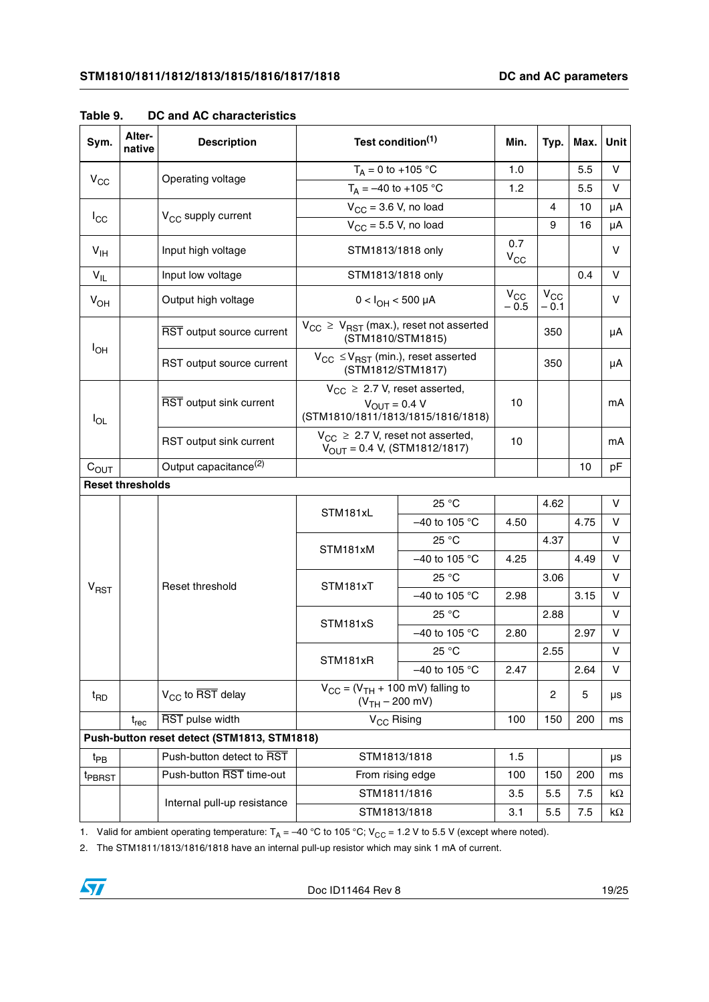| Sym.               | Alter-<br>native        | <b>Description</b>                          | Test condition <sup>(1)</sup>                                                                          |                 | Min.               | Typ.                                 | Max. | Unit       |
|--------------------|-------------------------|---------------------------------------------|--------------------------------------------------------------------------------------------------------|-----------------|--------------------|--------------------------------------|------|------------|
|                    |                         | Operating voltage                           | $T_A = 0$ to +105 °C                                                                                   |                 | 1.0                |                                      | 5.5  | V          |
| $V_{CC}$           |                         |                                             | $T_A = -40$ to +105 °C                                                                                 |                 | 1.2                |                                      | 5.5  | $\vee$     |
| $I_{\rm CC}$       |                         | V <sub>CC</sub> supply current              | $V_{CC}$ = 3.6 V, no load                                                                              |                 |                    | 4                                    | 10   | μA         |
|                    |                         |                                             | $V_{CC}$ = 5.5 V, no load                                                                              |                 |                    | 9                                    | 16   | μA         |
| $V_{\text{IH}}$    |                         | Input high voltage                          | STM1813/1818 only                                                                                      |                 | 0.7<br>$V_{CC}$    |                                      |      | v          |
| $V_{IL}$           |                         | Input low voltage                           | STM1813/1818 only                                                                                      |                 |                    |                                      | 0.4  | V          |
| $V_{OH}$           |                         | Output high voltage                         | $0 < I_{OH} < 500 \mu A$                                                                               |                 | $V_{CC}$<br>$-0.5$ | $\mathsf{V}_{\mathsf{CC}}$<br>$-0.1$ |      | V          |
|                    |                         | RST output source current                   | $V_{CC}$ $\geq$ $V_{RST}$ (max.), reset not asserted<br>(STM1810/STM1815)                              |                 |                    | 350                                  |      | μA         |
| $I_{OH}$           |                         | RST output source current                   | $V_{CC} \leq V_{RST}$ (min.), reset asserted<br>(STM1812/STM1817)                                      |                 |                    | 350                                  |      | μA         |
| $I_{OL}$           |                         | RST output sink current                     | $V_{CC} \geq 2.7$ V, reset asserted,<br>$V_{\text{OUT}} = 0.4 V$<br>(STM1810/1811/1813/1815/1816/1818) |                 | 10                 |                                      |      | mA         |
|                    |                         | RST output sink current                     | $V_{CC} \geq 2.7$ V, reset not asserted,<br>$V_{\text{OUT}} = 0.4 \text{ V}, (STM1812/1817)$           | 10              |                    |                                      | mA   |            |
| $C_{OUT}$          |                         | Output capacitance <sup>(2)</sup>           |                                                                                                        |                 |                    |                                      | 10   | рF         |
|                    | <b>Reset thresholds</b> |                                             |                                                                                                        |                 |                    |                                      |      |            |
|                    |                         | Reset threshold                             | 25 °C<br>STM181xL                                                                                      |                 |                    | 4.62                                 |      | V          |
|                    |                         |                                             |                                                                                                        | -40 to 105 °C   | 4.50               |                                      | 4.75 | V          |
|                    |                         |                                             | STM181xM                                                                                               | 25 °C           |                    | 4.37                                 |      | V          |
|                    |                         |                                             |                                                                                                        | $-40$ to 105 °C | 4.25               |                                      | 4.49 | $\vee$     |
| $V_{RST}$          |                         |                                             | STM181xT                                                                                               | 25 °C           |                    | 3.06                                 |      | V          |
|                    |                         |                                             |                                                                                                        | $-40$ to 105 °C | 2.98               |                                      | 3.15 | v          |
|                    |                         |                                             | STM181xS                                                                                               | 25 °C           |                    | 2.88                                 |      | $\vee$     |
|                    |                         |                                             |                                                                                                        | $-40$ to 105 °C | 2.80               |                                      | 2.97 | V          |
|                    |                         |                                             | STM181xR                                                                                               | 25 °C           |                    | 2.55                                 |      | V          |
|                    |                         |                                             |                                                                                                        | -40 to 105 °C   | 2.47               |                                      | 2.64 | V          |
| $t_{\mathsf{RD}}$  |                         | $V_{CC}$ to RST delay                       | $V_{CC}$ = ( $V_{TH}$ + 100 mV) falling to<br>$(VTH - 200$ mV)                                         |                 |                    | $\overline{c}$                       | 5    | μs         |
|                    | $t_{rec}$               | RST pulse width                             | V <sub>CC</sub> Rising                                                                                 |                 | 100                | 150                                  | 200  | ms         |
|                    |                         | Push-button reset detect (STM1813, STM1818) |                                                                                                        |                 |                    |                                      |      |            |
| $t_{PB}$           |                         | Push-button detect to RST                   | STM1813/1818                                                                                           |                 | $1.5$              |                                      |      | μs         |
| <sup>t</sup> PBRST |                         | Push-button RST time-out                    | From rising edge                                                                                       |                 | 100                | 150                                  | 200  | ms         |
|                    |                         | Internal pull-up resistance                 |                                                                                                        | STM1811/1816    |                    | 5.5                                  | 7.5  | kΩ         |
|                    |                         |                                             | STM1813/1818                                                                                           |                 | 3.1                | 5.5                                  | 7.5  | k $\Omega$ |

<span id="page-18-0"></span>**Table 9. DC and AC characteristics**

1. Valid for ambient operating temperature:  $T_A = -40 °C$  to 105 °C; V<sub>CC</sub> = 1.2 V to 5.5 V (except where noted).

2. The STM1811/1813/1816/1818 have an internal pull-up resistor which may sink 1 mA of current.

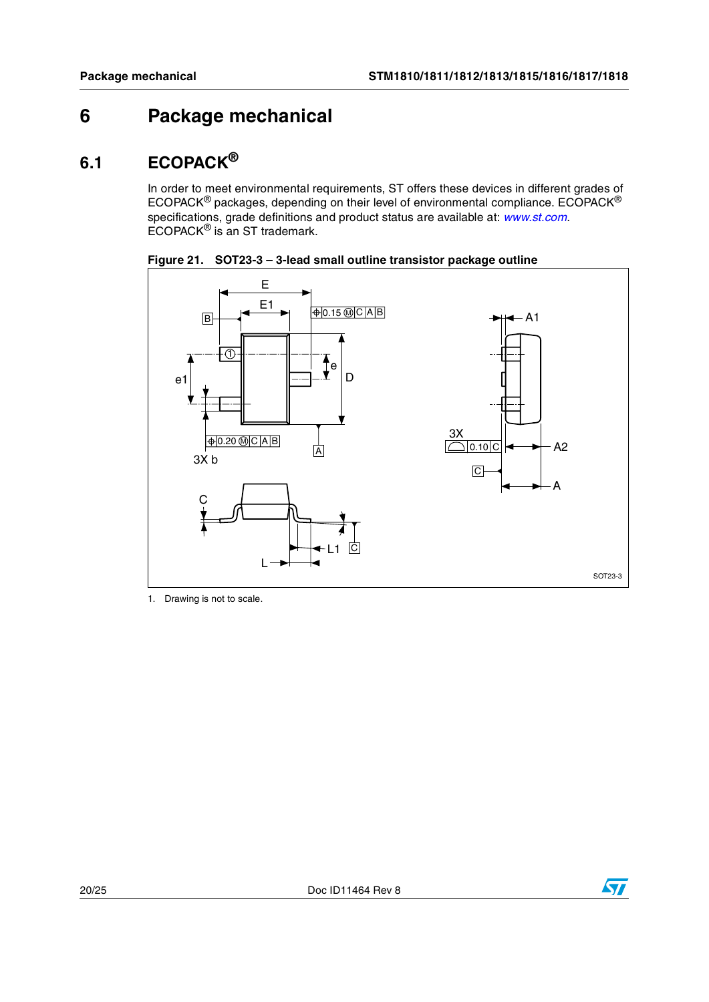## <span id="page-19-0"></span>**6 Package mechanical**

## <span id="page-19-1"></span>**6.1 ECOPACK®**

In order to meet environmental requirements, ST offers these devices in different grades of ECOPACK<sup>®</sup> packages, depending on their level of environmental compliance. ECOPACK<sup>®</sup> specifications, grade definitions and product status are available at: *[www.st.com](http://www.st.com)*. ECOPACK® is an ST trademark.



<span id="page-19-2"></span>**Figure 21. SOT23-3 – 3-lead small outline transistor package outline**

1. Drawing is not to scale.

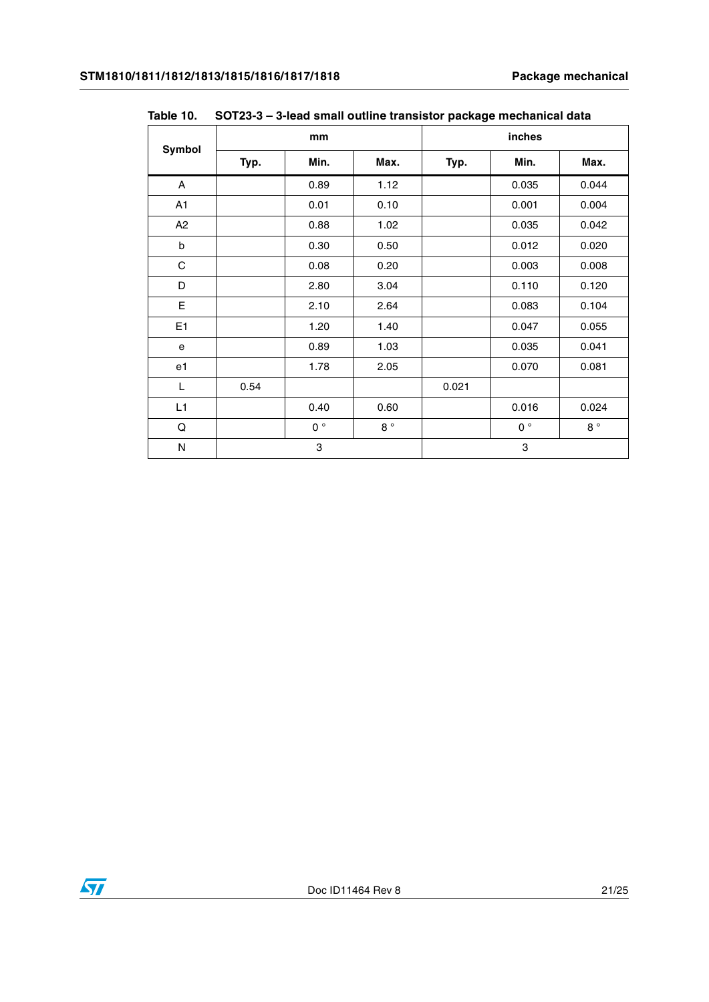| Symbol         | mm   |             |             | inches |             |             |
|----------------|------|-------------|-------------|--------|-------------|-------------|
|                | Typ. | Min.        | Max.        | Typ.   | Min.        | Max.        |
| A              |      | 0.89        | 1.12        |        | 0.035       | 0.044       |
| A <sub>1</sub> |      | 0.01        | 0.10        |        | 0.001       | 0.004       |
| A <sub>2</sub> |      | 0.88        | 1.02        |        | 0.035       | 0.042       |
| b              |      | 0.30        | 0.50        |        | 0.012       | 0.020       |
| $\mathsf C$    |      | 0.08        | 0.20        |        | 0.003       | 0.008       |
| D              |      | 2.80        | 3.04        |        | 0.110       | 0.120       |
| E              |      | 2.10        | 2.64        |        | 0.083       | 0.104       |
| E <sub>1</sub> |      | 1.20        | 1.40        |        | 0.047       | 0.055       |
| e              |      | 0.89        | 1.03        |        | 0.035       | 0.041       |
| e1             |      | 1.78        | 2.05        |        | 0.070       | 0.081       |
| L              | 0.54 |             |             | 0.021  |             |             |
| L1             |      | 0.40        | 0.60        |        | 0.016       | 0.024       |
| Q              |      | $0^{\circ}$ | $8^{\circ}$ |        | $0^{\circ}$ | $8^{\circ}$ |
| N              |      | 3           |             |        | 3           |             |

<span id="page-20-0"></span>**Table 10. SOT23-3 – 3-lead small outline transistor package mechanical data**

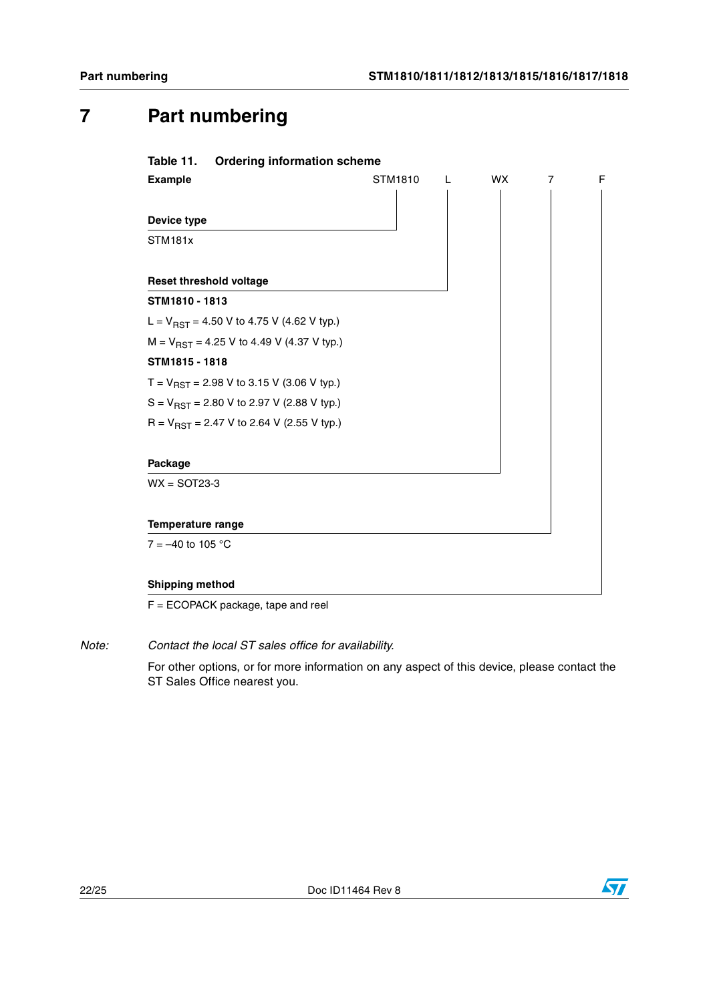## <span id="page-21-0"></span>**7 Part numbering**

<span id="page-21-1"></span>

| <b>Example</b>                                 | STM1810<br>L | WX. | $\overline{7}$ | F |
|------------------------------------------------|--------------|-----|----------------|---|
|                                                |              |     |                |   |
| Device type                                    |              |     |                |   |
| STM181x                                        |              |     |                |   |
| <b>Reset threshold voltage</b>                 |              |     |                |   |
| STM1810 - 1813                                 |              |     |                |   |
| L = $V_{RST}$ = 4.50 V to 4.75 V (4.62 V typ.) |              |     |                |   |
| $M = V_{RST} = 4.25$ V to 4.49 V (4.37 V typ.) |              |     |                |   |
| STM1815 - 1818                                 |              |     |                |   |
| $T = V_{RST} = 2.98$ V to 3.15 V (3.06 V typ.) |              |     |                |   |
| $S = V_{RST} = 2.80$ V to 2.97 V (2.88 V typ.) |              |     |                |   |
| R = $V_{RST}$ = 2.47 V to 2.64 V (2.55 V typ.) |              |     |                |   |
| Package                                        |              |     |                |   |
| $WX =$ SOT23-3                                 |              |     |                |   |
| <b>Temperature range</b>                       |              |     |                |   |
| $7 = -40$ to 105 °C                            |              |     |                |   |

F = ECOPACK package, tape and reel

*Note: Contact the local ST sales office for availability.*

For other options, or for more information on any aspect of this device, please contact the ST Sales Office nearest you.

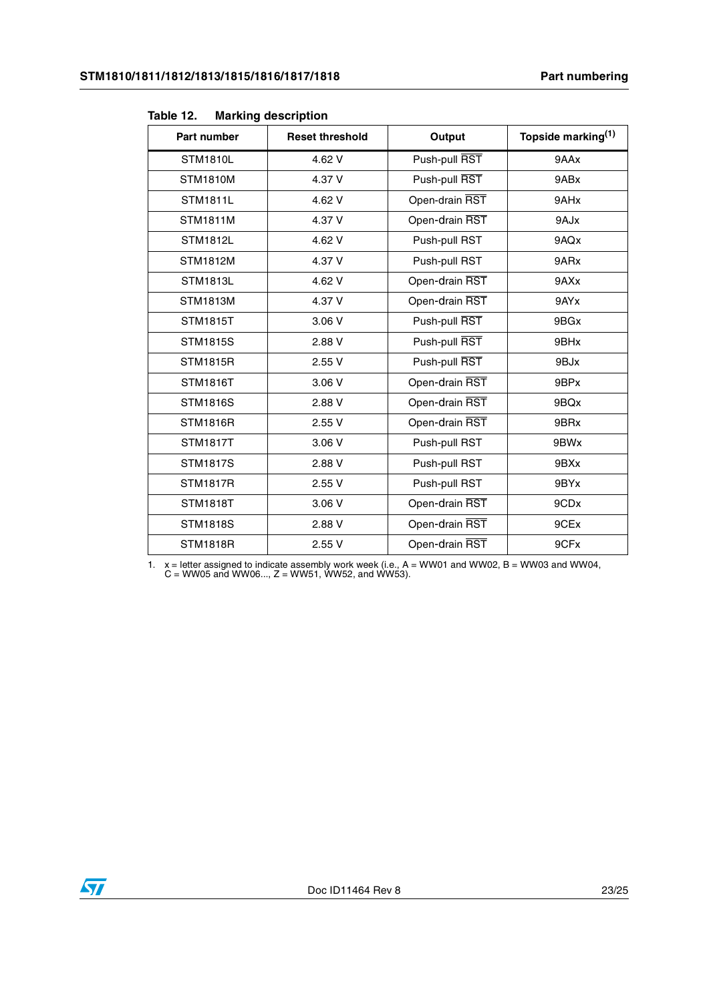| Part number     | <b>Reset threshold</b> | Output         | Topside marking <sup>(1)</sup> |
|-----------------|------------------------|----------------|--------------------------------|
| <b>STM1810L</b> | 4.62 V                 | Push-pull RST  | 9AAx                           |
| <b>STM1810M</b> | 4.37 V                 | Push-pull RST  | 9ABx                           |
| <b>STM1811L</b> | 4.62 V                 | Open-drain RST | 9AHx                           |
| <b>STM1811M</b> | 4.37 V                 | Open-drain RST | 9AJx                           |
| <b>STM1812L</b> | 4.62 V                 | Push-pull RST  | 9AQx                           |
| <b>STM1812M</b> | 4.37 V                 | Push-pull RST  | 9ARx                           |
| <b>STM1813L</b> | 4.62 V                 | Open-drain RST | 9AXx                           |
| <b>STM1813M</b> | 4.37 V                 | Open-drain RST | 9AYx                           |
| <b>STM1815T</b> | 3.06 V                 | Push-pull RST  | 9BGx                           |
| <b>STM1815S</b> | 2.88 V                 | Push-pull RST  | 9BHx                           |
| <b>STM1815R</b> | 2.55V                  | Push-pull RST  | 9BJx                           |
| <b>STM1816T</b> | 3.06 V                 | Open-drain RST | 9BPx                           |
| <b>STM1816S</b> | 2.88 V                 | Open-drain RST | 9BQx                           |
| <b>STM1816R</b> | 2.55 V                 | Open-drain RST | 9BRx                           |
| <b>STM1817T</b> | 3.06 V                 | Push-pull RST  | 9BWx                           |
| <b>STM1817S</b> | 2.88 V                 | Push-pull RST  | 9BXx                           |
| <b>STM1817R</b> | 2.55V                  | Push-pull RST  | 9BYx                           |
| <b>STM1818T</b> | 3.06 V                 | Open-drain RST | 9CDx                           |
| <b>STM1818S</b> | 2.88 V                 | Open-drain RST | 9CEx                           |
| <b>STM1818R</b> | 2.55V                  | Open-drain RST | 9CFx                           |

#### <span id="page-22-0"></span>Table 12. **Marking description**

1.  $x =$  letter assigned to indicate assembly work week (i.e.,  $A = WW01$  and WW02,  $B = WW03$  and WW04,  $C = WW05$  and WW06...,  $Z = WW51$ , WW52, and WW53).

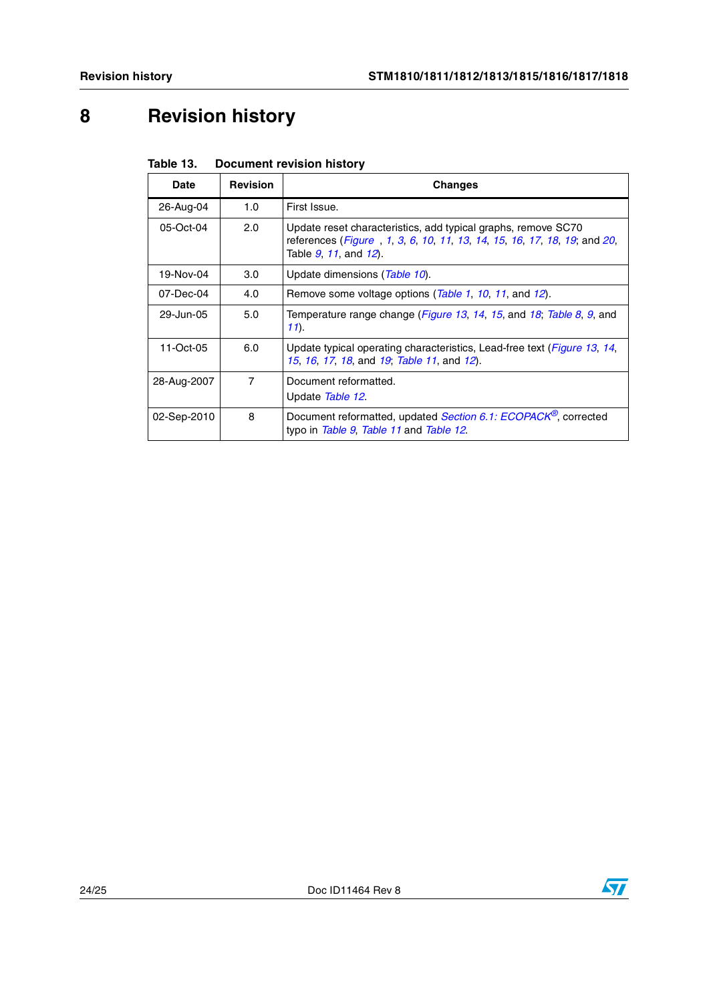# <span id="page-23-0"></span>**8 Revision history**

| <b>Date</b> | <b>Revision</b> | <b>Changes</b>                                                                                                                                                     |
|-------------|-----------------|--------------------------------------------------------------------------------------------------------------------------------------------------------------------|
| 26-Aug-04   | 1.0             | First Issue.                                                                                                                                                       |
| 05-Oct-04   | 2.0             | Update reset characteristics, add typical graphs, remove SC70<br>references (Figure, 1, 3, 6, 10, 11, 13, 14, 15, 16, 17, 18, 19; and 20,<br>Table 9, 11, and 12). |
| 19-Nov-04   | 3.0             | Update dimensions (Table 10).                                                                                                                                      |
| 07-Dec-04   | 4.0             | Remove some voltage options ( <i>Table 1, 10, 11,</i> and 12).                                                                                                     |
| 29-Jun-05   | 5.0             | Temperature range change ( <i>Figure 13, 14, 15</i> , and <i>18, Table 8, 9</i> , and<br>$11$ .                                                                    |
| 11-Oct-05   | 6.0             | Update typical operating characteristics, Lead-free text ( <i>Figure 13, 14</i> ,<br>15, 16, 17, 18, and 19; Table 11, and 12).                                    |
| 28-Aug-2007 | $\overline{7}$  | Document reformatted.<br>Update Table 12.                                                                                                                          |
| 02-Sep-2010 | 8               | Document reformatted, updated Section 6.1: ECOPACK <sup>®</sup> , corrected<br>typo in Table 9, Table 11 and Table 12.                                             |

<span id="page-23-1"></span>Table 13. **Document revision history**